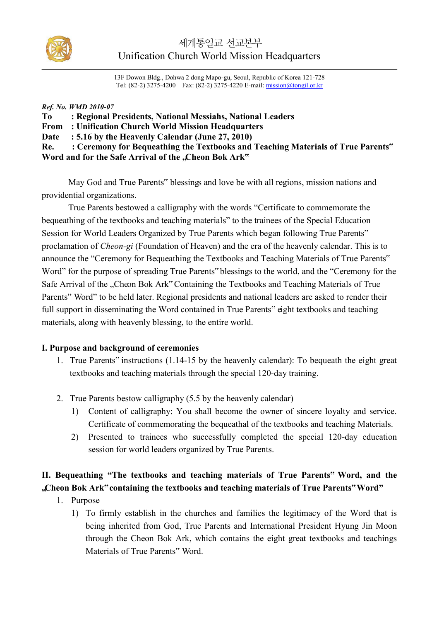

13F Dowon Bldg., Dohwa 2 dong Mapo-gu, Seoul, Republic of Korea 121-728 Tel: (82-2) 3275-4200 Fax: (82-2) 3275-4220 E-mail: mission@tongil.or.kr

#### *Ref. No. WMD 2010-07*

| <b>To</b> | : Regional Presidents, National Messiahs, National Leaders                           |
|-----------|--------------------------------------------------------------------------------------|
|           | <b>From</b> : Unification Church World Mission Headquarters                          |
|           | Date : 5.16 by the Heavenly Calendar (June 27, 2010)                                 |
|           | Re. : Ceremony for Bequeathing the Textbooks and Teaching Materials of True Parents" |
|           | Word and for the Safe Arrival of the "Cheon Bok Ark"                                 |

May God and True Parents" blessings and love be with all regions, mission nations and providential organizations.

True Parents bestowed a calligraphy with the words "Certificate to commemorate the bequeathing of the textbooks and teaching materials" to the trainees of the Special Education Session for World Leaders Organized by True Parents which began following True Parents" proclamation of *Cheon-gi* (Foundation of Heaven) and the era of the heavenly calendar. This is to announce the "Ceremony for Bequeathing the Textbooks and Teaching Materials of True Parents" Word" for the purpose of spreading True Parents" blessings to the world, and the "Ceremony for the Safe Arrival of the "Cheon Bok Ark" Containing the Textbooks and Teaching Materials of True Parents" Word" to be held later. Regional presidents and national leaders are asked to render their full support in disseminating the Word contained in True Parents" eight textbooks and teaching materials, along with heavenly blessing, to the entire world.

#### **I. Purpose and background of ceremonies**

- 1. True Parents" instructions (1.14-15 by the heavenly calendar): To bequeath the eight great textbooks and teaching materials through the special 120-day training.
- 2. True Parents bestow calligraphy (5.5 by the heavenly calendar)
	- 1) Content of calligraphy: You shall become the owner of sincere loyalty and service. Certificate of commemorating the bequeathal of the textbooks and teaching Materials.
	- 2) Presented to trainees who successfully completed the special 120-day education session for world leaders organized by True Parents.

## **II. Bequeathing "The textbooks and teaching materials of True Parents" Word, and the "Cheon Bok Ark" containing the textbooks and teaching materials of True Parents" Word"**

- 1. Purpose
	- 1) To firmly establish in the churches and families the legitimacy of the Word that is being inherited from God, True Parents and International President Hyung Jin Moon through the Cheon Bok Ark, which contains the eight great textbooks and teachings Materials of True Parents" Word.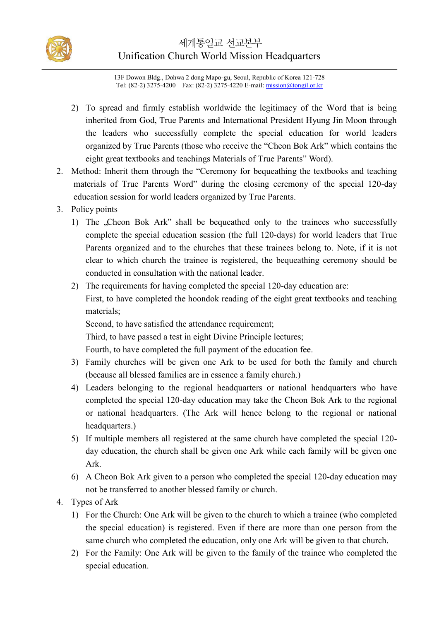

13F Dowon Bldg., Dohwa 2 dong Mapo-gu, Seoul, Republic of Korea 121-728 Tel: (82-2) 3275-4200 Fax: (82-2) 3275-4220 E-mail: mission@tongil.or.kr

- 2) To spread and firmly establish worldwide the legitimacy of the Word that is being inherited from God, True Parents and International President Hyung Jin Moon through the leaders who successfully complete the special education for world leaders organized by True Parents (those who receive the "Cheon Bok Ark" which contains the eight great textbooks and teachings Materials of True Parents" Word).
- 2. Method: Inherit them through the "Ceremony for bequeathing the textbooks and teaching materials of True Parents Word" during the closing ceremony of the special 120-day education session for world leaders organized by True Parents.
- 3. Policy points
	- 1) The "Cheon Bok Ark" shall be bequeathed only to the trainees who successfully complete the special education session (the full 120-days) for world leaders that True Parents organized and to the churches that these trainees belong to. Note, if it is not clear to which church the trainee is registered, the bequeathing ceremony should be conducted in consultation with the national leader.
	- 2) The requirements for having completed the special 120-day education are: First, to have completed the hoondok reading of the eight great textbooks and teaching materials;

Second, to have satisfied the attendance requirement;

Third, to have passed a test in eight Divine Principle lectures;

Fourth, to have completed the full payment of the education fee.

- 3) Family churches will be given one Ark to be used for both the family and church (because all blessed families are in essence a family church.)
- 4) Leaders belonging to the regional headquarters or national headquarters who have completed the special 120-day education may take the Cheon Bok Ark to the regional or national headquarters. (The Ark will hence belong to the regional or national headquarters.)
- 5) If multiple members all registered at the same church have completed the special 120 day education, the church shall be given one Ark while each family will be given one Ark.
- 6) A Cheon Bok Ark given to a person who completed the special 120-day education may not be transferred to another blessed family or church.
- 4. Types of Ark
	- 1) For the Church: One Ark will be given to the church to which a trainee (who completed the special education) is registered. Even if there are more than one person from the same church who completed the education, only one Ark will be given to that church.
	- 2) For the Family: One Ark will be given to the family of the trainee who completed the special education.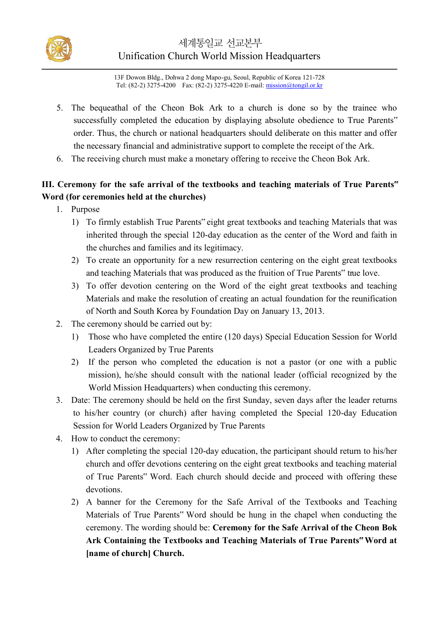

13F Dowon Bldg., Dohwa 2 dong Mapo-gu, Seoul, Republic of Korea 121-728 Tel: (82-2) 3275-4200 Fax: (82-2) 3275-4220 E-mail: mission@tongil.or.kr

- 5. The bequeathal of the Cheon Bok Ark to a church is done so by the trainee who successfully completed the education by displaying absolute obedience to True Parents" order. Thus, the church or national headquarters should deliberate on this matter and offer the necessary financial and administrative support to complete the receipt of the Ark.
- 6. The receiving church must make a monetary offering to receive the Cheon Bok Ark.

### **III. Ceremony for the safe arrival of the textbooks and teaching materials of True Parents" Word (for ceremonies held at the churches)**

- 1. Purpose
	- 1) To firmly establish True Parents" eight great textbooks and teaching Materials that was inherited through the special 120-day education as the center of the Word and faith in the churches and families and its legitimacy.
	- 2) To create an opportunity for a new resurrection centering on the eight great textbooks and teaching Materials that was produced as the fruition of True Parents<sup>"</sup> true love.
	- 3) To offer devotion centering on the Word of the eight great textbooks and teaching Materials and make the resolution of creating an actual foundation for the reunification of North and South Korea by Foundation Day on January 13, 2013.
- 2. The ceremony should be carried out by:
	- 1) Those who have completed the entire (120 days) Special Education Session for World Leaders Organized by True Parents
	- 2) If the person who completed the education is not a pastor (or one with a public mission), he/she should consult with the national leader (official recognized by the World Mission Headquarters) when conducting this ceremony.
- 3. Date: The ceremony should be held on the first Sunday, seven days after the leader returns to his/her country (or church) after having completed the Special 120-day Education Session for World Leaders Organized by True Parents
- 4. How to conduct the ceremony:
	- 1) After completing the special 120-day education, the participant should return to his/her church and offer devotions centering on the eight great textbooks and teaching material of True Parents" Word. Each church should decide and proceed with offering these devotions.
	- 2) A banner for the Ceremony for the Safe Arrival of the Textbooks and Teaching Materials of True Parents" Word should be hung in the chapel when conducting the ceremony. The wording should be: **Ceremony for the Safe Arrival of the Cheon Bok Ark Containing the Textbooks and Teaching Materials of True Parents" Word at [name of church] Church.**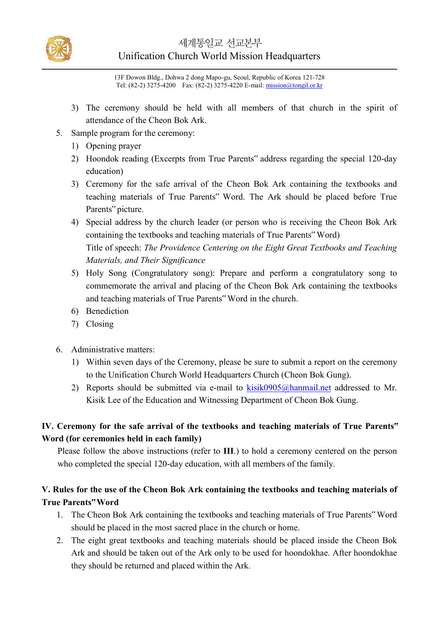

## 세계통일교 선교본부 Unification Church World Mission Headquarters

13F Dowon Bldg., Dohwa 2 dong Mapo-gu, Seoul, Republic of Korea 121-728 Tel: (82-2) 3275-4200 Fax: (82-2) 3275-4220 E-mail: mission@tongil.or.kr

- 3) The ceremony should be held with all members of that church in the spirit of attendance of the Cheon Bok Ark.
- 5. Sample program for the ceremony:
	- 1) Opening prayer
	- 2) Hoondok reading (Excerpts from True Parents" address regarding the special 120-day education)
	- 3) Ceremony for the safe arrival of the Cheon Bok Ark containing the textbooks and teaching materials of True Parents" Word. The Ark should be placed before True Parents" picture.
	- 4) Special address by the church leader (or person who is receiving the Cheon Bok Ark containing the textbooks and teaching materials of True Parents" Word) Title of speech: *The Providence Centering on the Eight Great Textbooks and Teaching Materials, and Their Significance*
	- 5) Holy Song (Congratulatory song): Prepare and perform a congratulatory song to commemorate the arrival and placing of the Cheon Bok Ark containing the textbooks and teaching materials of True Parents" Word in the church.
	- 6) Benediction
	- 7) Closing
- 6. Administrative matters:
	- 1) Within seven days of the Ceremony, please be sure to submit a report on the ceremony to the Unification Church World Headquarters Church (Cheon Bok Gung).
	- 2) Reports should be submitted via e-mail to  $kisik0905@hammail.net$  addressed to Mr. Kisik Lee of the Education and Witnessing Department of Cheon Bok Gung.

#### **IV. Ceremony for the safe arrival of the textbooks and teaching materials of True Parents" Word (for ceremonies held in each family)**

Please follow the above instructions (refer to **III**.) to hold a ceremony centered on the person who completed the special 120-day education, with all members of the family.

#### **V. Rules for the use of the Cheon Bok Ark containing the textbooks and teaching materials of True Parents" Word**

- 1. The Cheon Bok Ark containing the textbooks and teaching materials of True Parents" Word should be placed in the most sacred place in the church or home.
- 2. The eight great textbooks and teaching materials should be placed inside the Cheon Bok Ark and should be taken out of the Ark only to be used for hoondokhae. After hoondokhae they should be returned and placed within the Ark.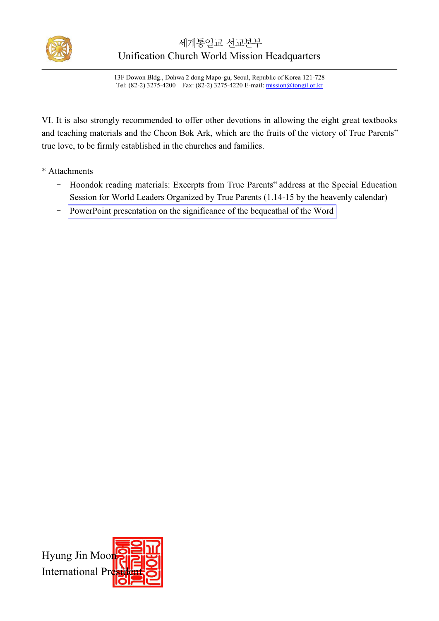

## 세계통일교 선교본부 Unification Church World Mission Headquarters

13F Dowon Bldg., Dohwa 2 dong Mapo-gu, Seoul, Republic of Korea 121-728 Tel: (82-2) 3275-4200 Fax: (82-2) 3275-4220 E-mail: mission@tongil.or.kr

VI. It is also strongly recommended to offer other devotions in allowing the eight great textbooks and teaching materials and the Cheon Bok Ark, which are the fruits of the victory of True Parents" true love, to be firmly established in the churches and families.

- \* Attachments
	- Hoondok reading materials: Excerpts from True Parents" address at the Special Education Session for World Leaders Organized by True Parents (1.14-15 by the heavenly calendar)
	- PowerPoint presentation on the significance of the bequeathal of the Word

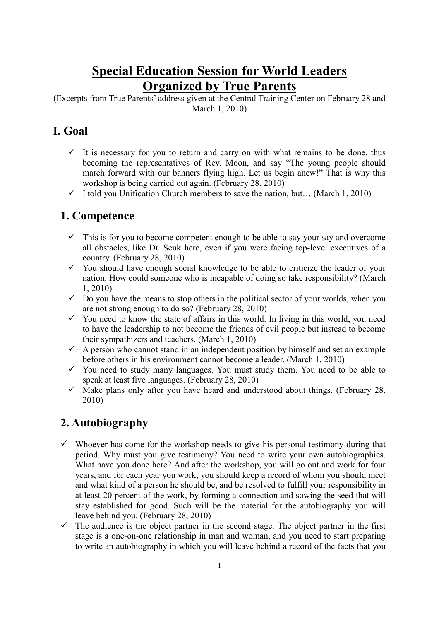# **Special Education Session for World Leaders Organized by True Parents**

(Excerpts from True Parents' address given at the Central Training Center on February 28 and March 1, 2010)

## **I. Goal**

- $\checkmark$  It is necessary for you to return and carry on with what remains to be done, thus becoming the representatives of Rev. Moon, and say "The young people should march forward with our banners flying high. Let us begin anew!" That is why this workshop is being carried out again. (February 28, 2010)
- $\checkmark$  I told you Unification Church members to save the nation, but... (March 1, 2010)

## **1. Competence**

- $\checkmark$  This is for you to become competent enough to be able to say your say and overcome all obstacles, like Dr. Seuk here, even if you were facing top-level executives of a country. (February 28, 2010)
- $\checkmark$  You should have enough social knowledge to be able to criticize the leader of your nation. How could someone who is incapable of doing so take responsibility? (March 1, 2010)
- $\checkmark$  Do you have the means to stop others in the political sector of your worlds, when you are not strong enough to do so? (February 28, 2010)
- $\checkmark$  You need to know the state of affairs in this world. In living in this world, you need to have the leadership to not become the friends of evil people but instead to become their sympathizers and teachers. (March 1, 2010)
- $\checkmark$  A person who cannot stand in an independent position by himself and set an example before others in his environment cannot become a leader. (March 1, 2010)
- $\checkmark$  You need to study many languages. You must study them. You need to be able to speak at least five languages. (February 28, 2010)
- $\checkmark$  Make plans only after you have heard and understood about things. (February 28, 2010)

# **2. Autobiography**

- $\checkmark$  Whoever has come for the workshop needs to give his personal testimony during that period. Why must you give testimony? You need to write your own autobiographies. What have you done here? And after the workshop, you will go out and work for four years, and for each year you work, you should keep a record of whom you should meet and what kind of a person he should be, and be resolved to fulfill your responsibility in at least 20 percent of the work, by forming a connection and sowing the seed that will stay established for good. Such will be the material for the autobiography you will leave behind you. (February 28, 2010)
- $\checkmark$  The audience is the object partner in the second stage. The object partner in the first stage is a one-on-one relationship in man and woman, and you need to start preparing to write an autobiography in which you will leave behind a record of the facts that you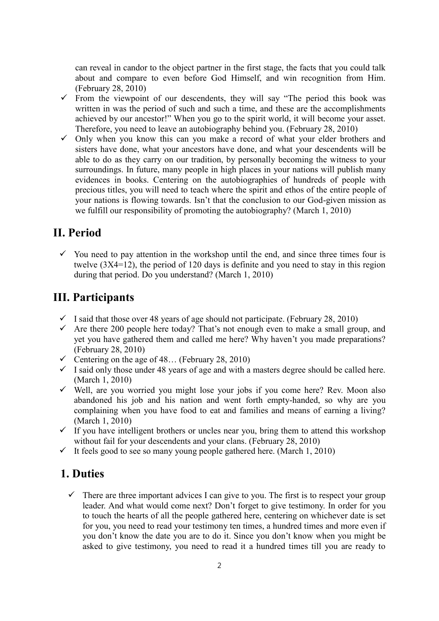can reveal in candor to the object partner in the first stage, the facts that you could talk about and compare to even before God Himself, and win recognition from Him. (February 28, 2010)

- $\checkmark$  From the viewpoint of our descendents, they will say "The period this book was written in was the period of such and such a time, and these are the accomplishments achieved by our ancestor!" When you go to the spirit world, it will become your asset. Therefore, you need to leave an autobiography behind you. (February 28, 2010)
- $\checkmark$  Only when you know this can you make a record of what your elder brothers and sisters have done, what your ancestors have done, and what your descendents will be able to do as they carry on our tradition, by personally becoming the witness to your surroundings. In future, many people in high places in your nations will publish many evidences in books. Centering on the autobiographies of hundreds of people with precious titles, you will need to teach where the spirit and ethos of the entire people of your nations is flowing towards. Isn't that the conclusion to our God-given mission as we fulfill our responsibility of promoting the autobiography? (March 1, 2010)

### **II. Period**

 $\checkmark$  You need to pay attention in the workshop until the end, and since three times four is twelve (3X4=12), the period of 120 days is definite and you need to stay in this region during that period. Do you understand? (March 1, 2010)

### **III. Participants**

- $\checkmark$  I said that those over 48 years of age should not participate. (February 28, 2010)
- $\checkmark$  Are there 200 people here today? That's not enough even to make a small group, and yet you have gathered them and called me here? Why haven't you made preparations? (February 28, 2010)
- $\checkmark$  Centering on the age of 48... (February 28, 2010)
- $\checkmark$  I said only those under 48 years of age and with a masters degree should be called here. (March 1, 2010)
- $\checkmark$  Well, are you worried you might lose your jobs if you come here? Rev. Moon also abandoned his job and his nation and went forth empty-handed, so why are you complaining when you have food to eat and families and means of earning a living? (March 1, 2010)
- $\checkmark$  If you have intelligent brothers or uncles near you, bring them to attend this workshop without fail for your descendents and your clans. (February 28, 2010)
- $\checkmark$  It feels good to see so many young people gathered here. (March 1, 2010)

#### **1. Duties**

 $\checkmark$  There are three important advices I can give to you. The first is to respect your group leader. And what would come next? Don't forget to give testimony. In order for you to touch the hearts of all the people gathered here, centering on whichever date is set for you, you need to read your testimony ten times, a hundred times and more even if you don't know the date you are to do it. Since you don't know when you might be asked to give testimony, you need to read it a hundred times till you are ready to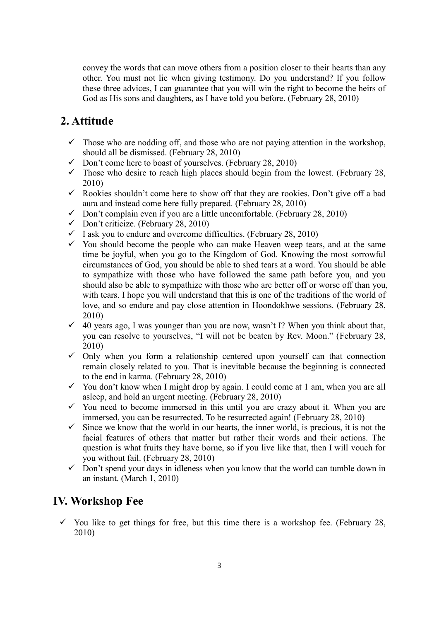convey the words that can move others from a position closer to their hearts than any other. You must not lie when giving testimony. Do you understand? If you follow these three advices, I can guarantee that you will win the right to become the heirs of God as His sons and daughters, as I have told you before. (February 28, 2010)

## **2. Attitude**

- $\checkmark$  Those who are nodding off, and those who are not paying attention in the workshop, should all be dismissed. (February 28, 2010)
- $\checkmark$  Don't come here to boast of yourselves. (February 28, 2010)
- $\checkmark$  Those who desire to reach high places should begin from the lowest. (February 28, 2010)
- $\checkmark$  Rookies shouldn't come here to show off that they are rookies. Don't give off a bad aura and instead come here fully prepared. (February 28, 2010)
- $\checkmark$  Don't complain even if you are a little uncomfortable. (February 28, 2010)
- $\checkmark$  Don't criticize. (February 28, 2010)
- $\checkmark$  I ask you to endure and overcome difficulties. (February 28, 2010)
- $\checkmark$  You should become the people who can make Heaven weep tears, and at the same time be joyful, when you go to the Kingdom of God. Knowing the most sorrowful circumstances of God, you should be able to shed tears at a word. You should be able to sympathize with those who have followed the same path before you, and you should also be able to sympathize with those who are better off or worse off than you, with tears. I hope you will understand that this is one of the traditions of the world of love, and so endure and pay close attention in Hoondokhwe sessions. (February 28, 2010)
- $\checkmark$  40 years ago, I was younger than you are now, wasn't I? When you think about that, you can resolve to yourselves, "I will not be beaten by Rev. Moon." (February 28, 2010)
- $\checkmark$  Only when you form a relationship centered upon yourself can that connection remain closely related to you. That is inevitable because the beginning is connected to the end in karma. (February 28, 2010)
- $\checkmark$  You don't know when I might drop by again. I could come at 1 am, when you are all asleep, and hold an urgent meeting. (February 28, 2010)
- $\checkmark$  You need to become immersed in this until you are crazy about it. When you are immersed, you can be resurrected. To be resurrected again! (February 28, 2010)
- $\checkmark$  Since we know that the world in our hearts, the inner world, is precious, it is not the facial features of others that matter but rather their words and their actions. The question is what fruits they have borne, so if you live like that, then I will vouch for you without fail. (February 28, 2010)
- $\checkmark$  Don't spend your days in idleness when you know that the world can tumble down in an instant. (March 1, 2010)

### **IV. Workshop Fee**

 $\checkmark$  You like to get things for free, but this time there is a workshop fee. (February 28, 2010)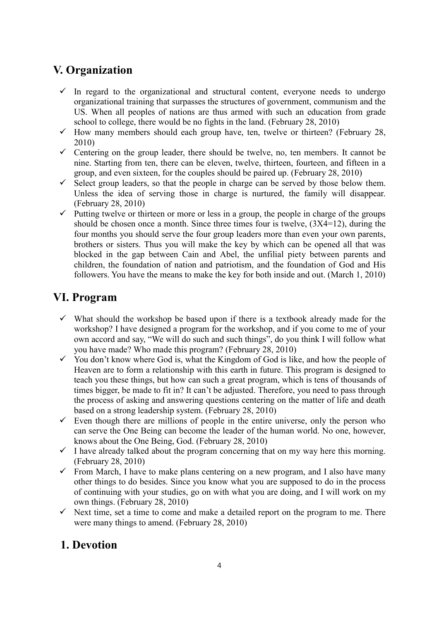# **V. Organization**

- $\checkmark$  In regard to the organizational and structural content, everyone needs to undergo organizational training that surpasses the structures of government, communism and the US. When all peoples of nations are thus armed with such an education from grade school to college, there would be no fights in the land. (February 28, 2010)
- $\checkmark$  How many members should each group have, ten, twelve or thirteen? (February 28, 2010)
- $\checkmark$  Centering on the group leader, there should be twelve, no, ten members. It cannot be nine. Starting from ten, there can be eleven, twelve, thirteen, fourteen, and fifteen in a group, and even sixteen, for the couples should be paired up. (February 28, 2010)
- $\checkmark$  Select group leaders, so that the people in charge can be served by those below them. Unless the idea of serving those in charge is nurtured, the family will disappear. (February 28, 2010)
- $\checkmark$  Putting twelve or thirteen or more or less in a group, the people in charge of the groups should be chosen once a month. Since three times four is twelve, (3X4=12), during the four months you should serve the four group leaders more than even your own parents, brothers or sisters. Thus you will make the key by which can be opened all that was blocked in the gap between Cain and Abel, the unfilial piety between parents and children, the foundation of nation and patriotism, and the foundation of God and His followers. You have the means to make the key for both inside and out. (March 1, 2010)

## **VI. Program**

- $\checkmark$  What should the workshop be based upon if there is a textbook already made for the workshop? I have designed a program for the workshop, and if you come to me of your own accord and say, "We will do such and such things", do you think I will follow what you have made? Who made this program? (February 28, 2010)
- $\checkmark$  You don't know where God is, what the Kingdom of God is like, and how the people of Heaven are to form a relationship with this earth in future. This program is designed to teach you these things, but how can such a great program, which is tens of thousands of times bigger, be made to fit in? It can't be adjusted. Therefore, you need to pass through the process of asking and answering questions centering on the matter of life and death based on a strong leadership system. (February 28, 2010)
- $\checkmark$  Even though there are millions of people in the entire universe, only the person who can serve the One Being can become the leader of the human world. No one, however, knows about the One Being, God. (February 28, 2010)
- $\checkmark$  I have already talked about the program concerning that on my way here this morning. (February 28, 2010)
- $\checkmark$  From March, I have to make plans centering on a new program, and I also have many other things to do besides. Since you know what you are supposed to do in the process of continuing with your studies, go on with what you are doing, and I will work on my own things. (February 28, 2010)
- $\checkmark$  Next time, set a time to come and make a detailed report on the program to me. There were many things to amend. (February 28, 2010)

## **1. Devotion**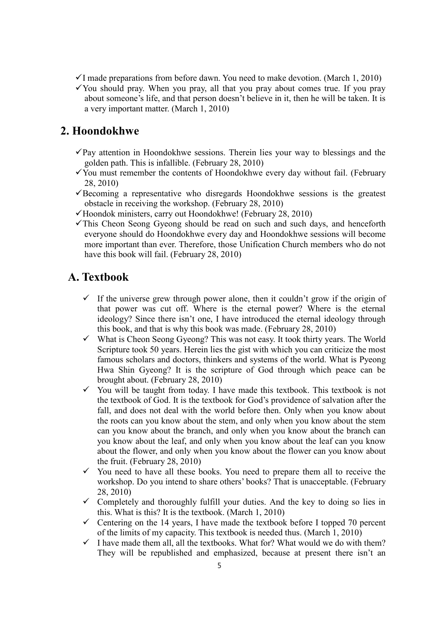- $\checkmark$ I made preparations from before dawn. You need to make devotion. (March 1, 2010)
- $\checkmark$  You should pray. When you pray, all that you pray about comes true. If you pray about someone's life, and that person doesn't believe in it, then he will be taken. It is a very important matter. (March 1, 2010)

#### **2. Hoondokhwe**

- $\checkmark$  Pay attention in Hoondokhwe sessions. Therein lies your way to blessings and the golden path. This is infallible. (February 28, 2010)
- $\checkmark$  You must remember the contents of Hoondokhwe every day without fail. (February 28, 2010)
- $\checkmark$ Becoming a representative who disregards Hoondokhwe sessions is the greatest obstacle in receiving the workshop. (February 28, 2010)
- $\checkmark$  Hoondok ministers, carry out Hoondokhwe! (February 28, 2010)
- $\checkmark$ This Cheon Seong Gyeong should be read on such and such days, and henceforth everyone should do Hoondokhwe every day and Hoondokhwe sessions will become more important than ever. Therefore, those Unification Church members who do not have this book will fail. (February 28, 2010)

#### **A. Textbook**

- $\checkmark$  If the universe grew through power alone, then it couldn't grow if the origin of that power was cut off. Where is the eternal power? Where is the eternal ideology? Since there isn't one, I have introduced the eternal ideology through this book, and that is why this book was made. (February 28, 2010)
- $\checkmark$  What is Cheon Seong Gyeong? This was not easy. It took thirty years. The World Scripture took 50 years. Herein lies the gist with which you can criticize the most famous scholars and doctors, thinkers and systems of the world. What is Pyeong Hwa Shin Gyeong? It is the scripture of God through which peace can be brought about. (February 28, 2010)
- $\checkmark$  You will be taught from today. I have made this textbook. This textbook is not the textbook of God. It is the textbook for God's providence of salvation after the fall, and does not deal with the world before then. Only when you know about the roots can you know about the stem, and only when you know about the stem can you know about the branch, and only when you know about the branch can you know about the leaf, and only when you know about the leaf can you know about the flower, and only when you know about the flower can you know about the fruit. (February 28, 2010)
- $\checkmark$  You need to have all these books. You need to prepare them all to receive the workshop. Do you intend to share others' books? That is unacceptable. (February 28, 2010)
- $\checkmark$  Completely and thoroughly fulfill your duties. And the key to doing so lies in this. What is this? It is the textbook. (March 1, 2010)
- $\checkmark$  Centering on the 14 years, I have made the textbook before I topped 70 percent of the limits of my capacity. This textbook is needed thus. (March 1, 2010)
- $\checkmark$  I have made them all, all the textbooks. What for? What would we do with them? They will be republished and emphasized, because at present there isn't an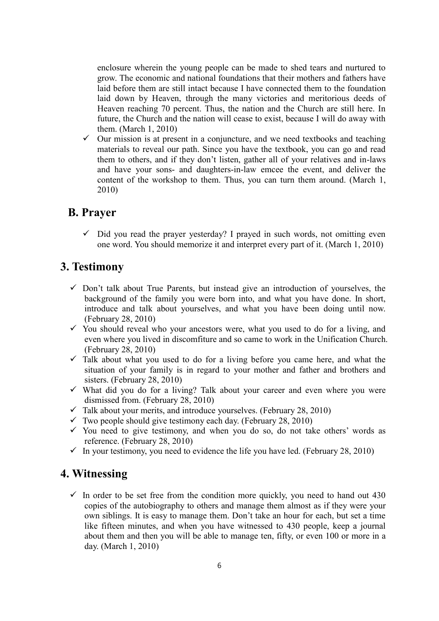enclosure wherein the young people can be made to shed tears and nurtured to grow. The economic and national foundations that their mothers and fathers have laid before them are still intact because I have connected them to the foundation laid down by Heaven, through the many victories and meritorious deeds of Heaven reaching 70 percent. Thus, the nation and the Church are still here. In future, the Church and the nation will cease to exist, because I will do away with them. (March 1, 2010)

 $\checkmark$  Our mission is at present in a conjuncture, and we need textbooks and teaching materials to reveal our path. Since you have the textbook, you can go and read them to others, and if they don't listen, gather all of your relatives and in-laws and have your sons- and daughters-in-law emcee the event, and deliver the content of the workshop to them. Thus, you can turn them around. (March 1, 2010)

#### **B. Prayer**

 $\checkmark$  Did you read the prayer yesterday? I prayed in such words, not omitting even one word. You should memorize it and interpret every part of it. (March 1, 2010)

#### **3. Testimony**

- $\checkmark$  Don't talk about True Parents, but instead give an introduction of yourselves, the background of the family you were born into, and what you have done. In short, introduce and talk about yourselves, and what you have been doing until now. (February 28, 2010)
- $\checkmark$  You should reveal who your ancestors were, what you used to do for a living, and even where you lived in discomfiture and so came to work in the Unification Church. (February 28, 2010)
- $\checkmark$  Talk about what you used to do for a living before you came here, and what the situation of your family is in regard to your mother and father and brothers and sisters. (February 28, 2010)
- $\checkmark$  What did you do for a living? Talk about your career and even where you were dismissed from. (February 28, 2010)
- $\checkmark$  Talk about your merits, and introduce yourselves. (February 28, 2010)
- $\checkmark$  Two people should give testimony each day. (February 28, 2010)
- $\checkmark$  You need to give testimony, and when you do so, do not take others' words as reference. (February 28, 2010)
- $\checkmark$  In your testimony, you need to evidence the life you have led. (February 28, 2010)

#### **4. Witnessing**

 $\checkmark$  In order to be set free from the condition more quickly, you need to hand out 430 copies of the autobiography to others and manage them almost as if they were your own siblings. It is easy to manage them. Don't take an hour for each, but set a time like fifteen minutes, and when you have witnessed to 430 people, keep a journal about them and then you will be able to manage ten, fifty, or even 100 or more in a day. (March 1, 2010)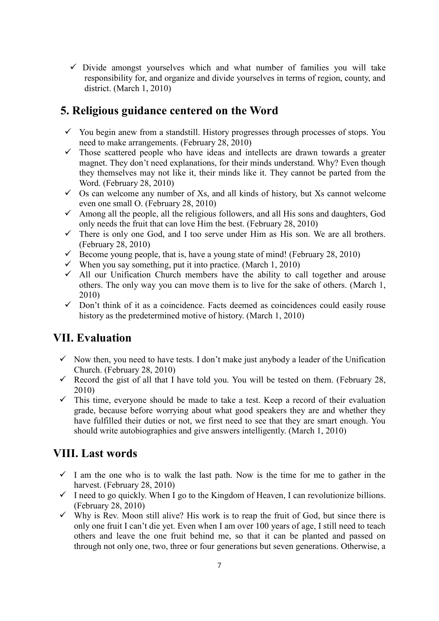$\checkmark$  Divide amongst vourselves which and what number of families you will take responsibility for, and organize and divide yourselves in terms of region, county, and district. (March 1, 2010)

## **5. Religious guidance centered on the Word**

- $\checkmark$  You begin anew from a standstill. History progresses through processes of stops. You need to make arrangements. (February 28, 2010)
- $\checkmark$  Those scattered people who have ideas and intellects are drawn towards a greater magnet. They don't need explanations, for their minds understand. Why? Even though they themselves may not like it, their minds like it. They cannot be parted from the Word. (February 28, 2010)
- $\checkmark$  Os can welcome any number of Xs, and all kinds of history, but Xs cannot welcome even one small O. (February 28, 2010)
- $\checkmark$  Among all the people, all the religious followers, and all His sons and daughters, God only needs the fruit that can love Him the best. (February 28, 2010)
- $\checkmark$  There is only one God, and I too serve under Him as His son. We are all brothers. (February 28, 2010)
- Become young people, that is, have a young state of mind! (February 28, 2010)
- When you say something, put it into practice. (March 1, 2010)
- $\checkmark$  All our Unification Church members have the ability to call together and arouse others. The only way you can move them is to live for the sake of others. (March 1, 2010)
- $\checkmark$  Don't think of it as a coincidence. Facts deemed as coincidences could easily rouse history as the predetermined motive of history. (March 1, 2010)

### **VII. Evaluation**

- $\checkmark$  Now then, you need to have tests. I don't make just anybody a leader of the Unification Church. (February 28, 2010)
- Record the gist of all that I have told you. You will be tested on them. (February 28, 2010)
- $\checkmark$  This time, everyone should be made to take a test. Keep a record of their evaluation grade, because before worrying about what good speakers they are and whether they have fulfilled their duties or not, we first need to see that they are smart enough. You should write autobiographies and give answers intelligently. (March 1, 2010)

#### **VIII. Last words**

- $\checkmark$  I am the one who is to walk the last path. Now is the time for me to gather in the harvest. (February 28, 2010)
- $\checkmark$  I need to go quickly. When I go to the Kingdom of Heaven, I can revolutionize billions. (February 28, 2010)
- $\checkmark$  Why is Rev. Moon still alive? His work is to reap the fruit of God, but since there is only one fruit I can't die yet. Even when I am over 100 years of age, I still need to teach others and leave the one fruit behind me, so that it can be planted and passed on through not only one, two, three or four generations but seven generations. Otherwise, a